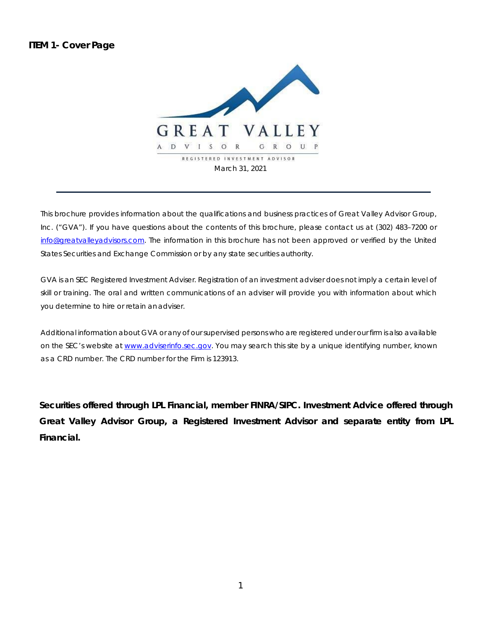**ITEM 1- Cover Page** 



This brochure provides information about the qualifications and business practices of Great Valley Advisor Group, Inc. ("GVA"). If you have questions about the contents of this brochure, please contact us at (302) 483–7200 or info@greatvallevadvisors.com. The information in this brochure has not been approved or verified by the United States Securities and Exchange Commission or by any state securities authority.

GVA is an SEC Registered Investment Adviser. Registration of an investment adviser does not imply a certain level of skill or training. The oral and written communications of an adviser will provide you with information about which you determine to hire or retain an adviser.

Additional information about GVA or any of our supervised persons who are registered under our firm is also available on the SEC's website at www.adviserinfo.sec.gov. You may search this site by a unique identifying number, known as a CRD number. The CRD number for the Firm is 123913.

*Securities offered through LPL Financial, member FINRA/SIPC. Investment Advice offered through Great Valley Advisor Group, a Registered Investment Advisor and separate entity from LPL Financial.*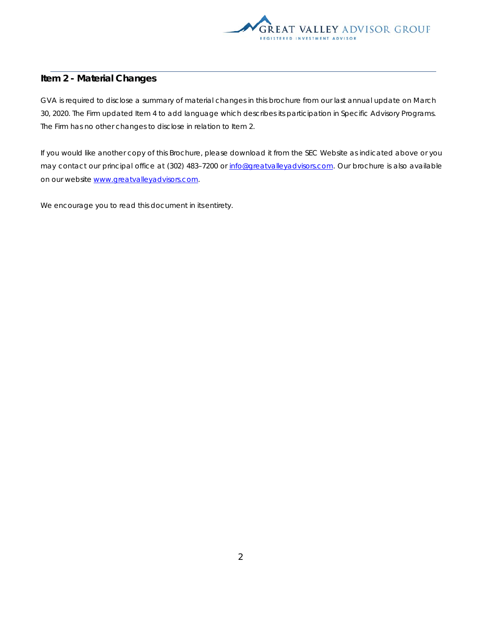

## **Item 2 - Material Changes**

GVA is required to disclose a summary of material changes in this brochure from our last annual update on March 30, 2020. The Firm updated Item 4 to add language which describes its participation in Specific Advisory Programs. The Firm has no other changes to disclose in relation to Item 2.

If you would like another copy of this Brochure, please download it from the SEC Website as indicated above or you may contact our principal office at (302) 483-7200 or info@greatvalleyadvisors.com. Our brochure is also available on our website www.greatvalleyadvisors.com.

We encourage you to read this document in its entirety.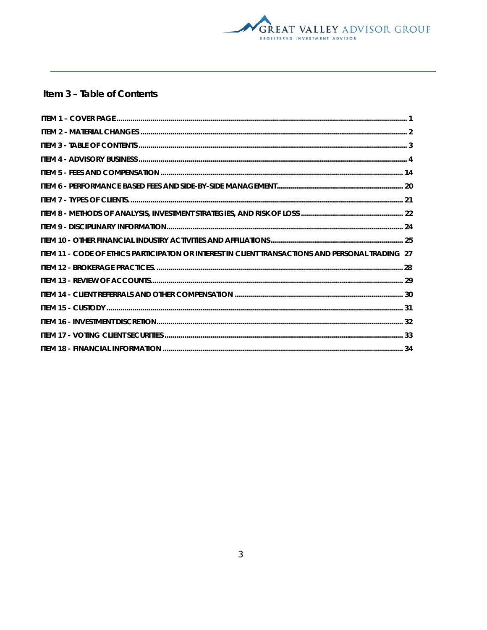

# Item 3 - Table of Contents

| ITEM 11 - CODE OF ETHICS PARTICIPATON OR INTEREST IN CLIENT TRANSACTIONS AND PERSONAL TRADING 27 |  |
|--------------------------------------------------------------------------------------------------|--|
|                                                                                                  |  |
|                                                                                                  |  |
|                                                                                                  |  |
|                                                                                                  |  |
|                                                                                                  |  |
|                                                                                                  |  |
|                                                                                                  |  |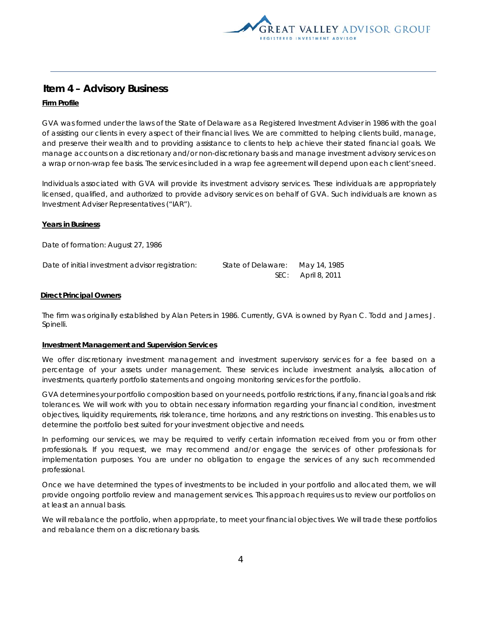

# **Item 4 – Advisory Business**

## **Firm Profile**

GVA was formed under the laws of the State of Delaware as a Registered Investment Adviser in 1986 with the goal of assisting our clients in every aspect of their financial lives. We are committed to helping clients build, manage, and preserve their wealth and to providing assistance to clients to help achieve their stated financial goals. We manage accounts on a discretionary and/or non-discretionary basis and manage investment advisory services on a wrap or non-wrap fee basis. The services included in a wrap fee agreement will depend upon each client's need.

Individuals associated with GVA will provide its investment advisory services. These individuals are appropriately licensed, qualified, and authorized to provide advisory services on behalf of GVA. Such individuals are known as Investment Adviser Representatives ("IAR").

#### **Years in Business**

Date of formation: August 27, 1986

| Date of initial investment advisor registration: | State of Delaware: | May 14, 1985       |
|--------------------------------------------------|--------------------|--------------------|
|                                                  |                    | SEC: April 8, 2011 |

#### **Direct Principal Owners**

The firm was originally established by Alan Peters in 1986. Currently, GVA is owned by Ryan C. Todd and James J. Spinelli.

#### **Investment Management and Supervision Services**

We offer discretionary investment management and investment supervisory services for a fee based on a percentage of your assets under management. These services include investment analysis, allocation of investments, quarterly portfolio statements and ongoing monitoring services for the portfolio.

GVA determines your portfolio composition based on your needs, portfolio restrictions, if any, financial goals and risk tolerances. We will work with you to obtain necessary information regarding your financial condition, investment objectives, liquidity requirements, risk tolerance, time horizons, and any restrictions on investing. This enables us to determine the portfolio best suited for your investment objective and needs.

In performing our services, we may be required to verify certain information received from you or from other professionals. If you request, we may recommend and/or engage the services of other professionals for implementation purposes. You are under no obligation to engage the services of any such recommended professional.

Once we have determined the types of investments to be included in your portfolio and allocated them, we will provide ongoing portfolio review and management services. This approach requires us to review our portfolios on at least an annual basis.

We will rebalance the portfolio, when appropriate, to meet your financial objectives. We will trade these portfolios and rebalance them on a discretionary basis.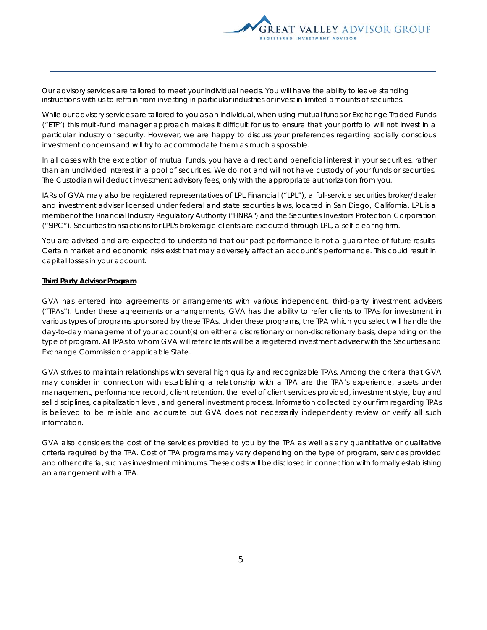

Our advisory services are tailored to meet your individual needs. You will have the ability to leave standing instructions with us to refrain from investing in particular industries or invest in limited amounts of securities.

While our advisory services are tailored to you as an individual, when using mutual funds or Exchange Traded Funds ("ETF") this multi-fund manager approach makes it difficult for us to ensure that your portfolio will not invest in a particular industry or security. However, we are happy to discuss your preferences regarding socially conscious investment concerns and will try to accommodate them as much as possible.

In all cases with the exception of mutual funds, you have a direct and beneficial interest in your securities, rather than an undivided interest in a pool of securities. We do not and will not have custody of your funds or securities. The Custodian will deduct investment advisory fees, only with the appropriate authorization from you.

IARs of GVA may also be registered representatives of LPL Financial ("LPL"), a full-service securities broker/dealer and investment adviser licensed under federal and state securities laws, located in San Diego, California. LPL is a member of the Financial Industry Regulatory Authority ("FINRA") and the Securities Investors Protection Corporation ("SIPC"). Securities transactions for LPL's brokerage clients are executed through LPL, a self-clearing firm.

You are advised and are expected to understand that our past performance is not a guarantee of future results. Certain market and economic risks exist that may adversely affect an account's performance. This could result in capital losses in your account.

#### **Third Party Advisor Program**

GVA has entered into agreements or arrangements with various independent, third-party investment advisers ("TPAs"). Under these agreements or arrangements, GVA has the ability to refer clients to TPAs for investment in various types of programs sponsored by these TPAs. Under these programs, the TPA which you select will handle the day-to-day management of your account(s) on either a discretionary or non-discretionary basis, depending on the type of program. All TPAs to whom GVA will refer clients will be a registered investment adviser with the Securities and Exchange Commission or applicable State.

GVA strives to maintain relationships with several high quality and recognizable TPAs. Among the criteria that GVA may consider in connection with establishing a relationship with a TPA are the TPA's experience, assets under management, performance record, client retention, the level of client services provided, investment style, buy and sell disciplines, capitalization level, and general investment process. Information collected by our firm regarding TPAs is believed to be reliable and accurate but GVA does not necessarily independently review or verify all such information.

GVA also considers the cost of the services provided to you by the TPA as well as any quantitative or qualitative criteria required by the TPA. Cost of TPA programs may vary depending on the type of program, services provided and other criteria, such as investment minimums. These costs will be disclosed in connection with formally establishing an arrangement with a TPA.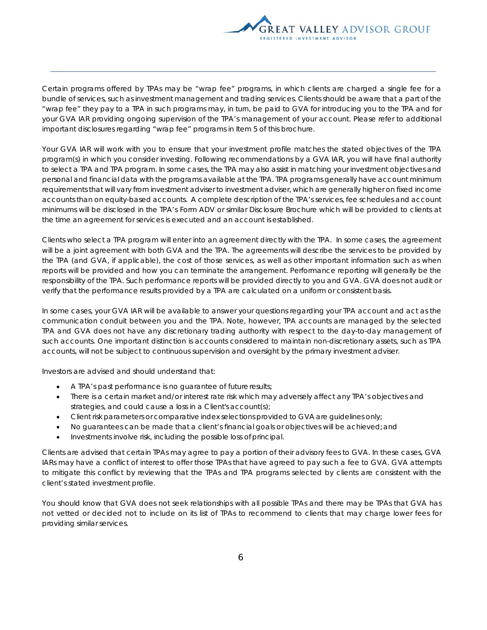

Certain programs offered by TPAs may be "wrap fee" programs, in which clients are charged a single fee for a bundle of services, such as investment management and trading services. Clients should be aware that a part of the "wrap fee" they pay to a TPA in such programs may, in turn, be paid to GVA for introducing you to the TPA and for your GVA IAR providing ongoing supervision of the TPA's management of your account. Please refer to additional important disclosures regarding "wrap fee" programs in Item 5 of this brochure.

Your GVA IAR will work with you to ensure that your investment profile matches the stated objectives of the TPA program(s) in which you consider investing. Following recommendations by a GVA IAR, you will have final authority to select a TPA and TPA program. In some cases, the TPA may also assist in matching your investment objectives and personal and financial data with the programs available at the TPA. TPA programs generally have account minimum requirements that will vary from investment adviser to investment adviser, which are generally higher on fixed income accounts than on equity-based accounts. A complete description of the TPA's services, fee schedules and account minimums will be disclosed in the TPA's Form ADV or similar Disclosure Brochure which will be provided to clients at the time an agreement for services is executed and an account is established.

Clients who select a TPA program will enter into an agreement directly with the TPA. In some cases, the agreement will be a joint agreement with both GVA and the TPA. The agreements will describe the services to be provided by the TPA (and GVA, if applicable), the cost of those services, as well as other important information such as when reports will be provided and how you can terminate the arrangement. Performance reporting will generally be the responsibility of the TPA. Such performance reports will be provided directly to you and GVA. GVA does not audit or verify that the performance results provided by a TPA are calculated on a uniform or consistent basis.

In some cases, your GVA IAR will be available to answer your questions regarding your TPA account and act as the communication conduit between you and the TPA. Note, however, TPA accounts are managed by the selected TPA and GVA does not have any discretionary trading authority with respect to the day-to-day management of such accounts. One important distinction is accounts considered to maintain non-discretionary assets, such as TPA accounts, will not be subject to continuous supervision and oversight by the primary investment adviser.

Investors are advised and should understand that:

- A TPA's past performance is no guarantee of future results;
- There is a certain market and/or interest rate risk which may adversely affect any TPA's objectives and strategies, and could cause a loss in a Client's account(s);
- Client risk parameters or comparative index selections provided to GVA are guidelines only;
- No guarantees can be made that a client's financial goals or objectives will be achieved; and
- Investments involve risk, including the possible loss of principal.

Clients are advised that certain TPAs may agree to pay a portion of their advisory fees to GVA. In these cases, GVA IARs may have a conflict of interest to offer those TPAs that have agreed to pay such a fee to GVA. GVA attempts to mitigate this conflict by reviewing that the TPAs and TPA programs selected by clients are consistent with the client's stated investment profile.

You should know that GVA does not seek relationships with all possible TPAs and there may be TPAs that GVA has not vetted or decided not to include on its list of TPAs to recommend to clients that may charge lower fees for providing similar services.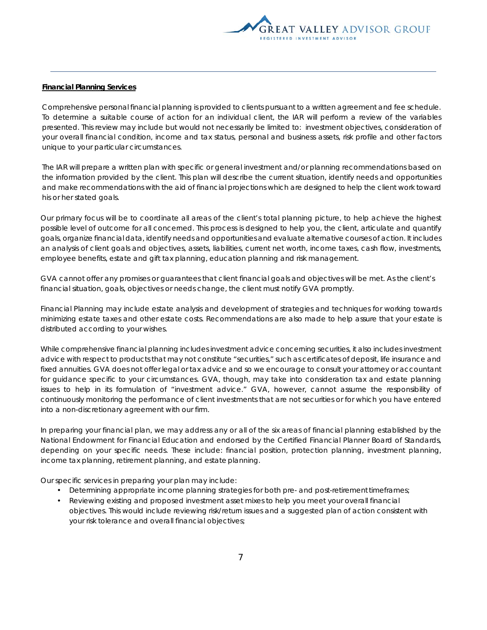

### **Financial Planning Services**

Comprehensive personal financial planning is provided to clients pursuant to a written agreement and fee schedule. To determine a suitable course of action for an individual client, the IAR will perform a review of the variables presented. This review may include but would not necessarily be limited to: investment objectives, consideration of your overall financial condition, income and tax status, personal and business assets, risk profile and other factors unique to your particular circumstances.

The IAR will prepare a written plan with specific or general investment and/or planning recommendations based on the information provided by the client. This plan will describe the current situation, identify needs and opportunities and make recommendations with the aid of financial projections which are designed to help the client work toward his or her stated goals.

Our primary focus will be to coordinate all areas of the client's total planning picture, to help achieve the highest possible level of outcome for all concerned. This process is designed to help you, the client, articulate and quantify goals, organize financial data, identify needs and opportunities and evaluate alternative courses of action. It includes an analysis of client goals and objectives, assets, liabilities, current net worth, income taxes, cash flow, investments, employee benefits, estate and gift tax planning, education planning and risk management.

GVA cannot offer any promises or guarantees that client financial goals and objectives will be met. As the client's financial situation, goals, objectives or needs change, the client must notify GVA promptly.

Financial Planning may include estate analysis and development of strategies and techniques for working towards minimizing estate taxes and other estate costs. Recommendations are also made to help assure that your estate is distributed according to your wishes.

While comprehensive financial planning includes investment advice concerning securities, it also includes investment advice with respect to products that may not constitute "securities," such as certificates of deposit, life insurance and fixed annuities. GVA does not offer legal or tax advice and so we encourage to consult your attorney or accountant for guidance specific to your circumstances. GVA, though, may take into consideration tax and estate planning issues to help in its formulation of "investment advice." GVA, however, cannot assume the responsibility of continuously monitoring the performance of client investments that are not securities or for which you have entered into a non-discretionary agreement with our firm.

In preparing your financial plan, we may address any or all of the six areas of financial planning established by the National Endowment for Financial Education and endorsed by the Certified Financial Planner Board of Standards, depending on your specific needs. These include: financial position, protection planning, investment planning, income tax planning, retirement planning, and estate planning.

Our specific services in preparing your plan may include:

- Determining appropriate income planning strategies for both pre- and post-retirement timeframes;
- Reviewing existing and proposed investment asset mixes to help you meet your overall financial objectives. This would include reviewing risk/return issues and a suggested plan of action consistent with your risk tolerance and overall financial objectives;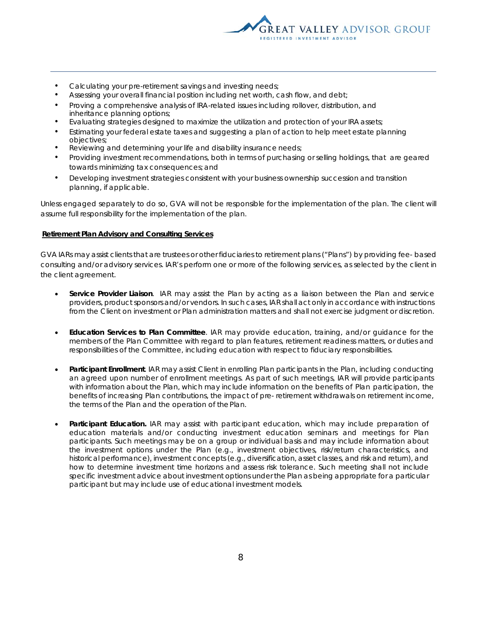

- Calculating your pre-retirement savings and investing needs;
- Assessing your overall financial position including net worth, cash flow, and debt;
- Proving a comprehensive analysis of IRA-related issues including rollover, distribution, and inheritance planning options;
- Evaluating strategies designed to maximize the utilization and protection of your IRA assets;
- Estimating your federal estate taxes and suggesting a plan of action to help meet estate planning objectives;
- Reviewing and determining your life and disability insurance needs;
- Providing investment recommendations, both in terms of purchasing or selling holdings, that are geared towards minimizing tax consequences; and
- Developing investment strategies consistent with your business ownership succession and transition planning, if applicable.

Unless engaged separately to do so, GVA will not be responsible for the implementation of the plan. The client will assume full responsibility for the implementation of the plan.

#### **Retirement Plan Advisory and Consulting Services**

GVA IARs may assist clients that are trustees or other fiduciaries to retirement plans ("Plans") by providing fee- based consulting and/or advisory services. IAR's perform one or more of the following services, as selected by the client in the client agreement.

- **Service Provider Liaison**. IAR may assist the Plan by acting as a liaison between the Plan and service providers, product sponsors and/or vendors. In such cases, IAR shall act only in accordance with instructions from the Client on investment or Plan administration matters and shall not exercise judgment or discretion.
- **Education Services to Plan Committee**. IAR may provide education, training, and/or guidance for the members of the Plan Committee with regard to plan features, retirement readiness matters, or duties and responsibilities of the Committee, including education with respect to fiduciary responsibilities.
- **Participant Enrollment**. IAR may assist Client in enrolling Plan participants in the Plan, including conducting an agreed upon number of enrollment meetings. As part of such meetings, IAR will provide participants with information about the Plan, which may include information on the benefits of Plan participation, the benefits of increasing Plan contributions, the impact of pre- retirement withdrawals on retirement income, the terms of the Plan and the operation of the Plan.
- **Participant Education.** IAR may assist with participant education, which may include preparation of education materials and/or conducting investment education seminars and meetings for Plan participants. Such meetings may be on a group or individual basis and may include information about the investment options under the Plan (e.g., investment objectives, risk/return characteristics, and historical performance), investment concepts (e.g., diversification, asset classes, and risk and return), and how to determine investment time horizons and assess risk tolerance. Such meeting shall not include specific investment advice about investment options under the Plan as being appropriate for a particular participant but may include use of educational investment models.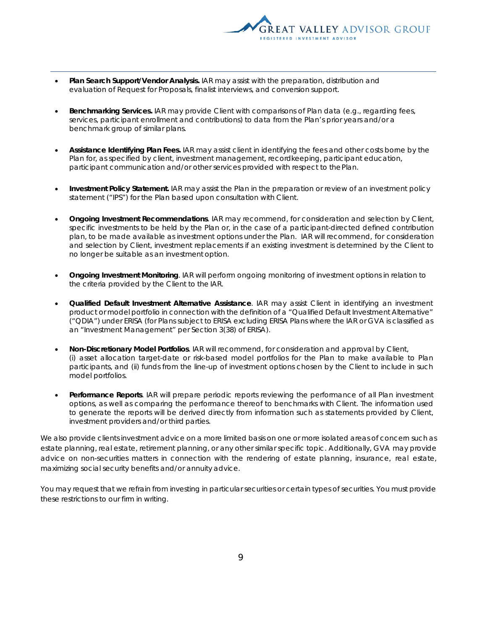

- **Plan Search Support/Vendor Analysis.** IAR may assist with the preparation, distribution and evaluation of Request for Proposals, finalist interviews, and conversion support.
- **Benchmarking Services.** IAR may provide Client with comparisons of Plan data (e.g., regarding fees, services, participant enrollment and contributions) to data from the Plan's prior years and/or a benchmark group of similar plans.
- **Assistance Identifying Plan Fees.** IAR may assist client in identifying the fees and other costs borne by the Plan for, as specified by client, investment management, recordkeeping, participant education, participant communication and/or other services provided with respect to the Plan.
- **Investment Policy Statement.** IAR may assist the Plan in the preparation or review of an investment policy statement ("IPS") for the Plan based upon consultation with Client.
- **Ongoing Investment Recommendations**. IAR may recommend, for consideration and selection by Client, specific investments to be held by the Plan or, in the case of a participant-directed defined contribution plan, to be made available as investment options under the Plan. IAR will recommend, for consideration and selection by Client, investment replacements if an existing investment is determined by the Client to no longer be suitable as an investment option.
- **Ongoing Investment Monitoring**. IAR will perform ongoing monitoring of investment options in relation to the criteria provided by the Client to the IAR.
- **Qualified Default Investment Alternative Assistance**. IAR may assist Client in identifying an investment product or model portfolio in connection with the definition of a "Qualified Default Investment Alternative" ("QDIA") under ERISA (for Plans subject to ERISA excluding ERISA Plans where the IAR or GVA is classified as an "Investment Management" per Section 3(38) of ERISA).
- **Non-Discretionary Model Portfolios**. IAR will recommend, for consideration and approval by Client, (i) asset allocation target-date or risk-based model portfolios for the Plan to make available to Plan participants, and (ii) funds from the line-up of investment options chosen by the Client to include in such model portfolios.
- **Performance Reports**. IAR will prepare periodic reports reviewing the performance of all Plan investment options, as well as comparing the performance thereof to benchmarks with Client. The information used to generate the reports will be derived directly from information such as statements provided by Client, investment providers and/or third parties.

We also provide clients investment advice on a more limited basis on one or more isolated areas of concern such as estate planning, real estate, retirement planning, or any other similar specific topic. Additionally, GVA may provide advice on non-securities matters in connection with the rendering of estate planning, insurance, real estate, maximizing social security benefits and/or annuity advice.

You may request that we refrain from investing in particular securities or certain types of securities. You must provide these restrictions to our firm in writing.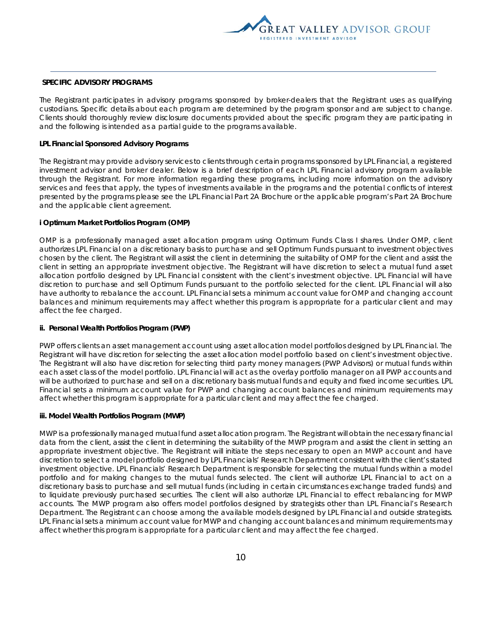

#### **SPECIFIC ADVISORY PROGRAMS**

The Registrant participates in advisory programs sponsored by broker-dealers that the Registrant uses as qualifying custodians. Specific details about each program are determined by the program sponsor and are subject to change. Clients should thoroughly review disclosure documents provided about the specific program they are participating in and the following is intended as a partial guide to the programs available.

#### **LPL Financial Sponsored Advisory Programs**

The Registrant may provide advisory services to clients through certain programs sponsored by LPL Financial, a registered investment advisor and broker dealer. Below is a brief description of each LPL Financial advisory program available through the Registrant. For more information regarding these programs, including more information on the advisory services and fees that apply, the types of investments available in the programs and the potential conflicts of interest presented by the programs please see the LPL Financial Part 2A Brochure or the applicable program's Part 2A Brochure and the applicable client agreement.

#### **i Optimum Market Portfolios Program (OMP)**

OMP is a professionally managed asset allocation program using Optimum Funds Class I shares. Under OMP, client authorizes LPL Financial on a discretionary basis to purchase and sell Optimum Funds pursuant to investment objectives chosen by the client. The Registrant will assist the client in determining the suitability of OMP for the client and assist the client in setting an appropriate investment objective. The Registrant will have discretion to select a mutual fund asset allocation portfolio designed by LPL Financial consistent with the client's investment objective. LPL Financial will have discretion to purchase and sell Optimum Funds pursuant to the portfolio selected for the client. LPL Financial will also have authority to rebalance the account. LPL Financial sets a minimum account value for OMP and changing account balances and minimum requirements may affect whether this program is appropriate for a particular client and may affect the fee charged.

## **ii. Personal Wealth Portfolios Program (PWP)**

PWP offers clients an asset management account using asset allocation model portfolios designed by LPL Financial. The Registrant will have discretion for selecting the asset allocation model portfolio based on client's investment objective. The Registrant will also have discretion for selecting third party money managers (PWP Advisors) or mutual funds within each asset class of the model portfolio. LPL Financial will act as the overlay portfolio manager on all PWP accounts and will be authorized to purchase and sell on a discretionary basis mutual funds and equity and fixed income securities. LPL Financial sets a minimum account value for PWP and changing account balances and minimum requirements may affect whether this program is appropriate for a particular client and may affect the fee charged.

#### **iii. Model Wealth Portfolios Program (MWP)**

MWP is a professionally managed mutual fund asset allocation program. The Registrant will obtain the necessary financial data from the client, assist the client in determining the suitability of the MWP program and assist the client in setting an appropriate investment objective. The Registrant will initiate the steps necessary to open an MWP account and have discretion to select a model portfolio designed by LPL Financials' Research Department consistent with the client's stated investment objective. LPL Financials' Research Department is responsible for selecting the mutual funds within a model portfolio and for making changes to the mutual funds selected. The client will authorize LPL Financial to act on a discretionary basis to purchase and sell mutual funds (including in certain circumstances exchange traded funds) and to liquidate previously purchased securities. The client will also authorize LPL Financial to effect rebalancing for MWP accounts. The MWP program also offers model portfolios designed by strategists other than LPL Financial's Research Department. The Registrant can choose among the available models designed by LPL Financial and outside strategists. LPL Financial sets a minimum account value for MWP and changing account balances and minimum requirements may affect whether this program is appropriate for a particular client and may affect the fee charged.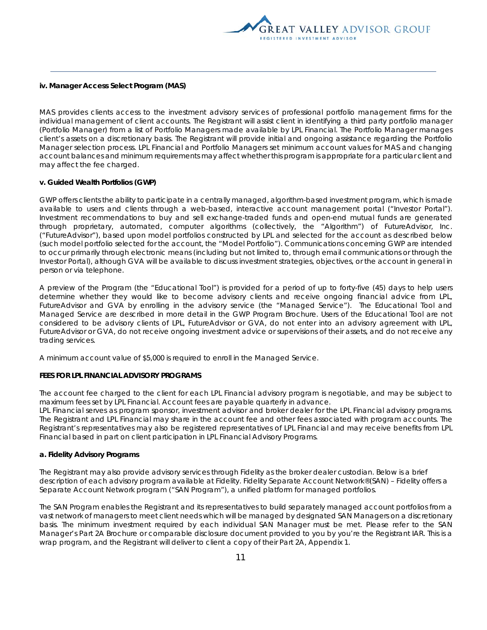

#### **iv. Manager Access Select Program (MAS)**

MAS provides clients access to the investment advisory services of professional portfolio management firms for the individual management of client accounts. The Registrant will assist client in identifying a third party portfolio manager (Portfolio Manager) from a list of Portfolio Managers made available by LPL Financial. The Portfolio Manager manages client's assets on a discretionary basis. The Registrant will provide initial and ongoing assistance regarding the Portfolio Manager selection process. LPL Financial and Portfolio Managers set minimum account values for MAS and changing account balances and minimum requirements may affect whether this program is appropriate for a particular client and may affect the fee charged.

#### **v. Guided Wealth Portfolios (GWP)**

GWP offers clients the ability to participate in a centrally managed, algorithm-based investment program, which is made available to users and clients through a web-based, interactive account management portal ("Investor Portal"). Investment recommendations to buy and sell exchange-traded funds and open-end mutual funds are generated through proprietary, automated, computer algorithms (collectively, the "Algorithm") of FutureAdvisor, Inc. ("FutureAdvisor"), based upon model portfolios constructed by LPL and selected for the account as described below (such model portfolio selected for the account, the "Model Portfolio"). Communications concerning GWP are intended to occur primarily through electronic means (including but not limited to, through email communications or through the Investor Portal), although GVA will be available to discuss investment strategies, objectives, or the account in general in person or via telephone.

A preview of the Program (the "Educational Tool") is provided for a period of up to forty-five (45) days to help users determine whether they would like to become advisory clients and receive ongoing financial advice from LPL, FutureAdvisor and GVA by enrolling in the advisory service (the "Managed Service"). The Educational Tool and Managed Service are described in more detail in the GWP Program Brochure. Users of the Educational Tool are not considered to be advisory clients of LPL, FutureAdvisor or GVA, do not enter into an advisory agreement with LPL, FutureAdvisor or GVA, do not receive ongoing investment advice or supervisions of their assets, and do not receive any trading services.

A minimum account value of \$5,000 is required to enroll in the Managed Service.

#### **FEES FOR LPL FINANCIAL ADVISORY PROGRAMS**

The account fee charged to the client for each LPL Financial advisory program is negotiable, and may be subject to maximum fees set by LPL Financial. Account fees are payable quarterly in advance.

LPL Financial serves as program sponsor, investment advisor and broker dealer for the LPL Financial advisory programs. The Registrant and LPL Financial may share in the account fee and other fees associated with program accounts. The Registrant's representatives may also be registered representatives of LPL Financial and may receive benefits from LPL Financial based in part on client participation in LPL Financial Advisory Programs.

#### **a. Fidelity Advisory Programs**

The Registrant may also provide advisory services through Fidelity as the broker dealer custodian. Below is a brief description of each advisory program available at Fidelity. Fidelity Separate Account Network®(SAN) – Fidelity offers a Separate Account Network program ("SAN Program"), a unified platform for managed portfolios.

The SAN Program enables the Registrant and its representatives to build separately managed account portfolios from a vast network of managers to meet client needs which will be managed by designated SAN Managers on a discretionary basis. The minimum investment required by each individual SAN Manager must be met. Please refer to the SAN Manager's Part 2A Brochure or comparable disclosure document provided to you by you're the Registrant IAR. This is a wrap program, and the Registrant will deliver to client a copy of their Part 2A, Appendix 1.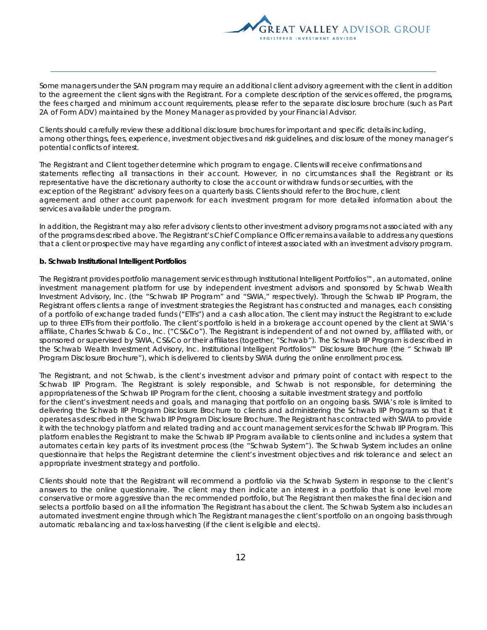

Some managers under the SAN program may require an additional client advisory agreement with the client in addition to the agreement the client signs with the Registrant. For a complete description of the services offered, the programs, the fees charged and minimum account requirements, please refer to the separate disclosure brochure (such as Part 2A of Form ADV) maintained by the Money Manager as provided by your Financial Advisor.

Clients should carefully review these additional disclosure brochures for important and specific details including, among other things, fees, experience, investment objectives and risk guidelines, and disclosure of the money manager's potential conflicts of interest.

The Registrant and Client together determine which program to engage. Clients will receive confirmations and statements reflecting all transactions in their account. However, in no circumstances shall the Registrant or its representative have the discretionary authority to close the account or withdraw funds or securities, with the exception of the Registrant' advisory fees on a quarterly basis. Clients should refer to the Brochure, client agreement and other account paperwork for each investment program for more detailed information about the services available under the program.

In addition, the Registrant may also refer advisory clients to other investment advisory programs not associated with any of the programs described above. The Registrant's Chief Compliance Officer remains available to address any questions that a client or prospective may have regarding any conflict of interest associated with an investment advisory program.

#### **b. Schwab Institutional Intelligent Portfolios**

The Registrant provides portfolio management services through Institutional Intelligent Portfolios™, an automated, online investment management platform for use by independent investment advisors and sponsored by Schwab Wealth Investment Advisory, Inc. (the "Schwab IIP Program" and "SWIA," respectively). Through the Schwab IIP Program, the Registrant offers clients a range of investment strategies the Registrant has constructed and manages, each consisting of a portfolio of exchange traded funds ("ETFs") and a cash allocation. The client may instruct the Registrant to exclude up to three ETFs from their portfolio. The client's portfolio is held in a brokerage account opened by the client at SWIA's affiliate, Charles Schwab & Co., Inc. ("CS&Co"). The Registrant is independent of and not owned by, affiliated with, or sponsored or supervised by SWIA, CS&Co or their affiliates (together, "Schwab"). The Schwab IIP Program is described in the Schwab Wealth Investment Advisory, Inc. Institutional Intelligent Portfolios™ Disclosure Brochure (the " Schwab IIP Program Disclosure Brochure"), which is delivered to clients by SWIA during the online enrollment process.

The Registrant, and not Schwab, is the client's investment advisor and primary point of contact with respect to the Schwab IIP Program. The Registrant is solely responsible, and Schwab is not responsible, for determining the appropriateness of the Schwab IIP Program for the client, choosing a suitable investment strategy and portfolio for the client's investment needs and goals, and managing that portfolio on an ongoing basis. SWIA's role is limited to delivering the Schwab IIP Program Disclosure Brochure to clients and administering the Schwab IIP Program so that it operates as described in the Schwab IIP Program Disclosure Brochure. The Registrant has contracted with SWIA to provide it with the technology platform and related trading and account management services for the Schwab IIP Program. This platform enables the Registrant to make the Schwab IIP Program available to clients online and includes a system that automates certain key parts of its investment process (the "Schwab System"). The Schwab System includes an online questionnaire that helps the Registrant determine the client's investment objectives and risk tolerance and select an appropriate investment strategy and portfolio.

Clients should note that the Registrant will recommend a portfolio via the Schwab System in response to the client's answers to the online questionnaire. The client may then indicate an interest in a portfolio that is one level more conservative or more aggressive than the recommended portfolio, but The Registrant then makes the final decision and selects a portfolio based on all the information The Registrant has about the client. The Schwab System also includes an automated investment engine through which The Registrant manages the client's portfolio on an ongoing basis through automatic rebalancing and tax-loss harvesting (if the client is eligible and elects).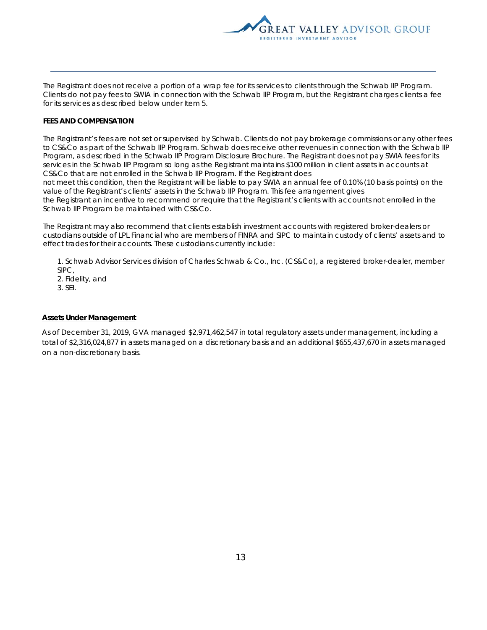

The Registrant does not receive a portion of a wrap fee for its services to clients through the Schwab IIP Program. Clients do not pay fees to SWIA in connection with the Schwab IIP Program, but the Registrant charges clients a fee for its services as described below under Item 5.

## **FEES AND COMPENSATION**

The Registrant's fees are not set or supervised by Schwab. Clients do not pay brokerage commissions or any other fees to CS&Co as part of the Schwab IIP Program. Schwab does receive other revenues in connection with the Schwab IIP Program, as described in the Schwab IIP Program Disclosure Brochure. The Registrant does not pay SWIA fees for its services in the Schwab IIP Program so long as the Registrant maintains \$100 million in client assets in accounts at CS&Co that are not enrolled in the Schwab IIP Program. If the Registrant does

not meet this condition, then the Registrant will be liable to pay SWIA an annual fee of 0.10% (10 basis points) on the value of the Registrant's clients' assets in the Schwab IIP Program. This fee arrangement gives

the Registrant an incentive to recommend or require that the Registrant's clients with accounts not enrolled in the Schwab IIP Program be maintained with CS&Co.

The Registrant may also recommend that clients establish investment accounts with registered broker-dealers or custodians outside of LPL Financial who are members of FINRA and SIPC to maintain custody of clients' assets and to effect trades for their accounts. These custodians currently include:

1. Schwab Advisor Services division of Charles Schwab & Co., Inc. (CS&Co), a registered broker-dealer, member SIPC,

2. Fidelity, and

3. SEI.

### **Assets Under Management**

As of December 31, 2019, GVA managed \$2,971,462,547 in total regulatory assets under management, including a total of \$2,316,024,877 in assets managed on a discretionary basis and an additional \$655,437,670 in assets managed on a non-discretionary basis.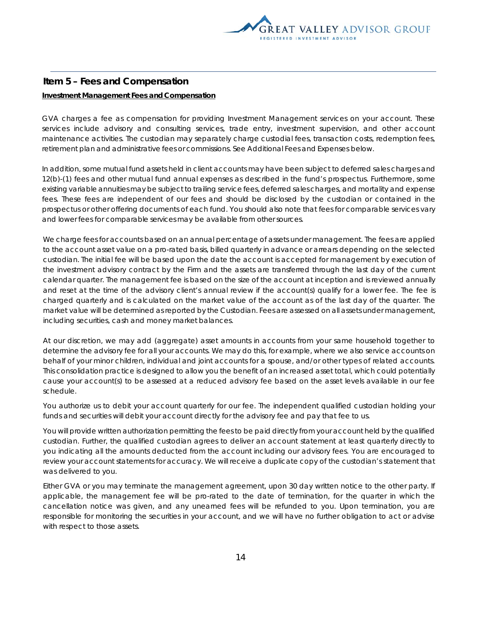

## **Item 5 – Fees and Compensation**

## **Investment Management Fees and Compensation**

GVA charges a fee as compensation for providing Investment Management services on your account. These services include advisory and consulting services, trade entry, investment supervision, and other account maintenance activities. The custodian may separately charge custodial fees, transaction costs, redemption fees, retirement plan and administrative fees or commissions. See Additional Fees and Expenses below.

In addition, some mutual fund assets held in client accounts may have been subject to deferred sales charges and 12(b)-(1) fees and other mutual fund annual expenses as described in the fund's prospectus. Furthermore, some existing variable annuities may be subject to trailing service fees, deferred sales charges, and mortality and expense fees. These fees are independent of our fees and should be disclosed by the custodian or contained in the prospectus or other offering documents of each fund. You should also note that fees for comparable services vary and lower fees for comparable services may be available from other sources.

We charge fees for accounts based on an annual percentage of assets under management. The fees are applied to the account asset value on a pro-rated basis, billed quarterly in advance or arrears depending on the selected custodian. The initial fee will be based upon the date the account is accepted for management by execution of the investment advisory contract by the Firm and the assets are transferred through the last day of the current calendar quarter. The management fee is based on the size of the account at inception and is reviewed annually and reset at the time of the advisory client's annual review if the account(s) qualify for a lower fee. The fee is charged quarterly and is calculated on the market value of the account as of the last day of the quarter. The market value will be determined as reported by the Custodian. Fees are assessed on all assets under management, including securities, cash and money market balances.

At our discretion, we may add (aggregate) asset amounts in accounts from your same household together to determine the advisory fee for all your accounts. We may do this, for example, where we also service accounts on behalf of your minor children, individual and joint accounts for a spouse, and/or other types of related accounts. This consolidation practice is designed to allow you the benefit of an increased asset total, which could potentially cause your account(s) to be assessed at a reduced advisory fee based on the asset levels available in our fee schedule.

You authorize us to debit your account quarterly for our fee. The independent qualified custodian holding your funds and securities will debit your account directly for the advisory fee and pay that fee to us.

You will provide written authorization permitting the fees to be paid directly from your account held by the qualified custodian. Further, the qualified custodian agrees to deliver an account statement at least quarterly directly to you indicating all the amounts deducted from the account including our advisory fees. You are encouraged to review your account statements for accuracy. We will receive a duplicate copy of the custodian's statement that was delivered to you.

Either GVA or you may terminate the management agreement, upon 30 day written notice to the other party. If applicable, the management fee will be pro-rated to the date of termination, for the quarter in which the cancellation notice was given, and any unearned fees will be refunded to you. Upon termination, you are responsible for monitoring the securities in your account, and we will have no further obligation to act or advise with respect to those assets.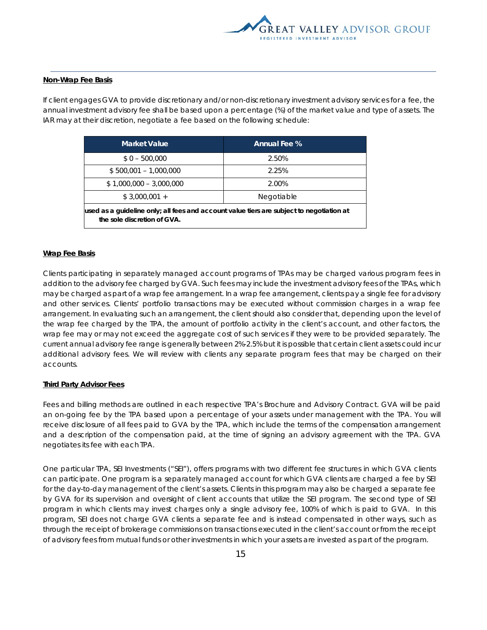

#### **Non-Wrap Fee Basis**

If client engages GVA to provide discretionary and/or non-discretionary investment advisory services for a fee, the annual investment advisory fee shall be based upon a percentage (%) of the market value and type of assets. The IAR may at their discretion, negotiate a fee based on the following schedule:

| <b>Market Value</b>                                                                                                     | <b>Annual Fee %</b> |  |  |
|-------------------------------------------------------------------------------------------------------------------------|---------------------|--|--|
| $$0 - 500,000$                                                                                                          | 2.50%               |  |  |
| $$500,001 - 1,000,000$                                                                                                  | 2.25%               |  |  |
| $$1,000,000 - 3,000,000$                                                                                                | 2.00%               |  |  |
| $$3,000,001 +$                                                                                                          | Negotiable          |  |  |
| used as a quideline only; all fees and account value tiers are subject to negotiation at<br>the sole discretion of GVA. |                     |  |  |

#### **Wrap Fee Basis**

Clients participating in separately managed account programs of TPAs may be charged various program fees in addition to the advisory fee charged by GVA. Such fees may include the investment advisory fees of the TPAs, which may be charged as part of a wrap fee arrangement. In a wrap fee arrangement, clients pay a single fee for advisory and other services. Clients' portfolio transactions may be executed without commission charges in a wrap fee arrangement. In evaluating such an arrangement, the client should also consider that, depending upon the level of the wrap fee charged by the TPA, the amount of portfolio activity in the client's account, and other factors, the wrap fee may or may not exceed the aggregate cost of such services if they were to be provided separately. The current annual advisory fee range is generally between 2%-2.5% but it is possible that certain client assets could incur additional advisory fees. We will review with clients any separate program fees that may be charged on their accounts.

#### **Third Party Advisor Fees**

Fees and billing methods are outlined in each respective TPA's Brochure and Advisory Contract. GVA will be paid an on-going fee by the TPA based upon a percentage of your assets under management with the TPA. You will receive disclosure of all fees paid to GVA by the TPA, which include the terms of the compensation arrangement and a description of the compensation paid, at the time of signing an advisory agreement with the TPA. GVA negotiates its fee with each TPA.

One particular TPA, SEI Investments ("SEI"), offers programs with two different fee structures in which GVA clients can participate. One program is a separately managed account for which GVA clients are charged a fee by SEI for the day-to-day management of the client's assets. Clients in this program may also be charged a separate fee by GVA for its supervision and oversight of client accounts that utilize the SEI program. The second type of SEI program in which clients may invest charges only a single advisory fee, 100% of which is paid to GVA. In this program, SEI does not charge GVA clients a separate fee and is instead compensated in other ways, such as through the receipt of brokerage commissions on transactions executed in the client's account or from the receipt of advisory fees from mutual funds or other investments in which your assets are invested as part of the program.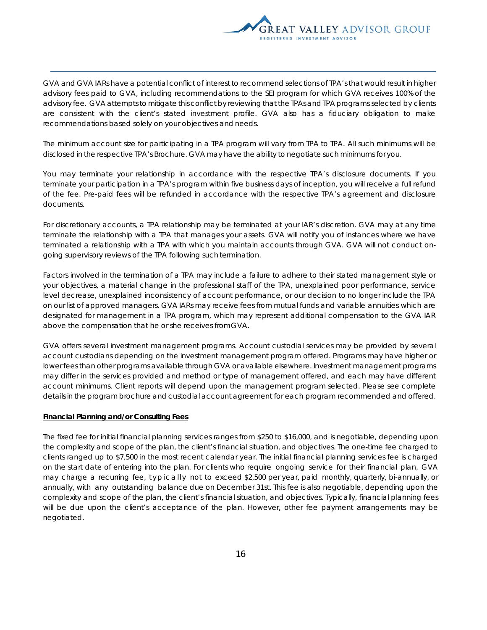

GVA and GVA IARs have a potential conflict of interest to recommend selections of TPA's that would result in higher advisory fees paid to GVA, including recommendations to the SEI program for which GVA receives 100% of the advisory fee. GVA attempts to mitigate this conflict by reviewing that the TPAs and TPA programs selected by clients are consistent with the client's stated investment profile. GVA also has a fiduciary obligation to make recommendations based solely on your objectives and needs.

The minimum account size for participating in a TPA program will vary from TPA to TPA. All such minimums will be disclosed in the respective TPA's Brochure. GVA may have the ability to negotiate such minimums for you.

You may terminate your relationship in accordance with the respective TPA's disclosure documents. If you terminate your participation in a TPA's program within five business days of inception, you will receive a full refund of the fee. Pre-paid fees will be refunded in accordance with the respective TPA's agreement and disclosure documents.

For discretionary accounts, a TPA relationship may be terminated at your IAR's discretion. GVA may at any time terminate the relationship with a TPA that manages your assets. GVA will notify you of instances where we have terminated a relationship with a TPA with which you maintain accounts through GVA. GVA will not conduct ongoing supervisory reviews of the TPA following such termination.

Factors involved in the termination of a TPA may include a failure to adhere to their stated management style or your objectives, a material change in the professional staff of the TPA, unexplained poor performance, service level decrease, unexplained inconsistency of account performance, or our decision to no longer include the TPA on our list of approved managers. GVA IARs may receive fees from mutual funds and variable annuities which are designated for management in a TPA program, which may represent additional compensation to the GVA IAR above the compensation that he or she receives from GVA.

GVA offers several investment management programs. Account custodial services may be provided by several account custodians depending on the investment management program offered. Programs may have higher or lower fees than other programs available through GVA or available elsewhere. Investment management programs may differ in the services provided and method or type of management offered, and each may have different account minimums. Client reports will depend upon the management program selected. Please see complete details in the program brochure and custodial account agreement for each program recommended and offered.

#### **Financial Planning and/or Consulting Fees**

The fixed fee for initial financial planning services ranges from \$250 to \$16,000, and is negotiable, depending upon the complexity and scope of the plan, the client's financial situation, and objectives. The one-time fee charged to clients ranged up to \$7,500 in the most recent calendar year. The initial financial planning services fee is charged on the start date of entering into the plan. For clients who require ongoing service for their financial plan, GVA may charge a recurring fee, typically not to exceed \$2,500 per year, paid monthly, quarterly, bi-annually, or annually, with any outstanding balance due on December 31st. This fee is also negotiable, depending upon the complexity and scope of the plan, the client's financial situation, and objectives. Typically, financial planning fees will be due upon the client's acceptance of the plan. However, other fee payment arrangements may be negotiated.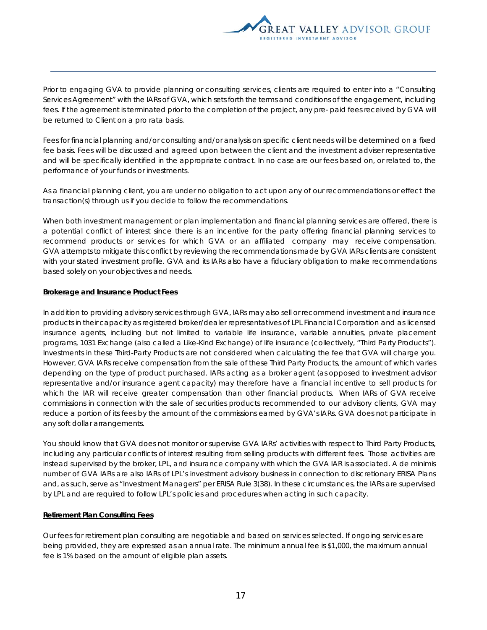

Prior to engaging GVA to provide planning or consulting services, clients are required to enter into a "Consulting Services Agreement" with the IARs of GVA, which sets forth the terms and conditions of the engagement, including fees. If the agreement is terminated prior to the completion of the project, any pre- paid fees received by GVA will be returned to Client on a pro rata basis.

Fees for financial planning and/or consulting and/or analysis on specific client needs will be determined on a fixed fee basis. Fees will be discussed and agreed upon between the client and the investment adviser representative and will be specifically identified in the appropriate contract. In no case are our fees based on, or related to, the performance of your funds or investments.

As a financial planning client, you are under no obligation to act upon any of our recommendations or effect the transaction(s) through us if you decide to follow the recommendations.

When both investment management or plan implementation and financial planning services are offered, there is a potential conflict of interest since there is an incentive for the party offering financial planning services to recommend products or services for which GVA or an affiliated company may receive compensation. GVA attempts to mitigate this conflict by reviewing the recommendations made by GVA IARs clients are consistent with your stated investment profile. GVA and its IARs also have a fiduciary obligation to make recommendations based solely on your objectives and needs.

#### **Brokerage and Insurance Product Fees**

In addition to providing advisory services through GVA, IARs may also sell or recommend investment and insurance products in their capacity as registered broker/dealer representatives of LPL Financial Corporation and as licensed insurance agents, including but not limited to variable life insurance, variable annuities, private placement programs, 1031 Exchange (also called a Like-Kind Exchange) of life insurance (collectively, "Third Party Products"). Investments in these Third-Party Products are not considered when calculating the fee that GVA will charge you. However, GVA IARs receive compensation from the sale of these Third Party Products, the amount of which varies depending on the type of product purchased. IARs acting as a broker agent (as opposed to investment advisor representative and/or insurance agent capacity) may therefore have a financial incentive to sell products for which the IAR will receive greater compensation than other financial products. When IARs of GVA receive commissions in connection with the sale of securities products recommended to our advisory clients, GVA may reduce a portion of its fees by the amount of the commissions earned by GVA's IARs. GVA does not participate in any soft dollar arrangements.

You should know that GVA does not monitor or supervise GVA IARs' activities with respect to Third Party Products, including any particular conflicts of interest resulting from selling products with different fees. Those activities are instead supervised by the broker, LPL, and insurance company with which the GVA IAR is associated. A de minimis number of GVA IARs are also IARs of LPL's investment advisory business in connection to discretionary ERISA Plans and, as such, serve as "Investment Managers" per ERISA Rule 3(38). In these circumstances, the IARs are supervised by LPL and are required to follow LPL's policies and procedures when acting in such capacity.

## **Retirement Plan Consulting Fees**

Our fees for retirement plan consulting are negotiable and based on services selected. If ongoing services are being provided, they are expressed as an annual rate. The minimum annual fee is \$1,000, the maximum annual fee is 1% based on the amount of eligible plan assets.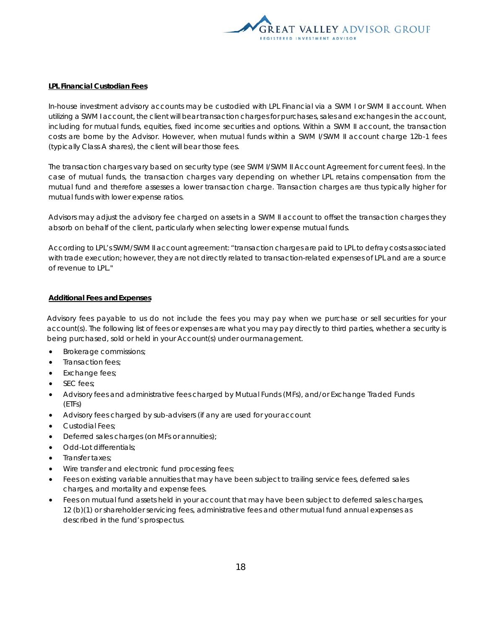

#### **LPL Financial Custodian Fees**

In-house investment advisory accounts may be custodied with LPL Financial via a SWM I or SWM II account. When utilizing a SWM I account, the client will bear transaction charges for purchases, sales and exchanges in the account, including for mutual funds, equities, fixed income securities and options. Within a SWM II account, the transaction costs are borne by the Advisor. However, when mutual funds within a SWM I/SWM II account charge 12b-1 fees (typically Class A shares), the client will bear those fees.

The transaction charges vary based on security type (see SWM I/SWM II Account Agreement for current fees). In the case of mutual funds, the transaction charges vary depending on whether LPL retains compensation from the mutual fund and therefore assesses a lower transaction charge. Transaction charges are thus typically higher for mutual funds with lower expense ratios.

Advisors may adjust the advisory fee charged on assets in a SWM II account to offset the transaction charges they absorb on behalf of the client, particularly when selecting lower expense mutual funds.

According to LPL's SWM/SWM II account agreement: "transaction charges are paid to LPL to defray costs associated with trade execution; however, they are not directly related to transaction-related expenses of LPL and are a source of revenue to LPL."

#### **Additional Fees and Expenses**

Advisory fees payable to us do not include the fees you may pay when we purchase or sell securities for your account(s). The following list of fees or expenses are what you may pay directly to third parties, whether a security is being purchased, sold or held in your Account(s) under our management.

- Brokerage commissions;
- Transaction fees;
- Exchange fees;
- SEC fees;
- Advisory fees and administrative fees charged by Mutual Funds (MFs), and/or Exchange Traded Funds (ETFs)
- Advisory fees charged by sub-advisers (if any are used for your account
- Custodial Fees;
- Deferred sales charges (on MFs or annuities);
- Odd-Lot differentials;
- Transfer taxes;
- Wire transfer and electronic fund processing fees;
- Fees on existing variable annuities that may have been subject to trailing service fees, deferred sales charges, and mortality and expense fees.
- Fees on mutual fund assets held in your account that may have been subject to deferred sales charges, 12 (b)(1) or shareholder servicing fees, administrative fees and other mutual fund annual expenses as described in the fund's prospectus.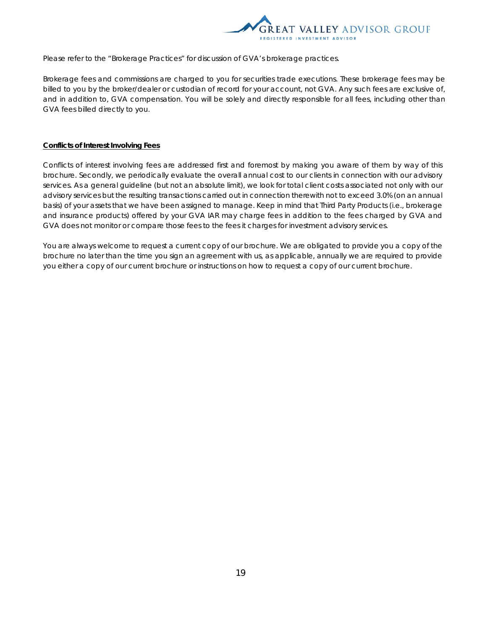

Please refer to the "Brokerage Practices" for discussion of GVA's brokerage practices.

Brokerage fees and commissions are charged to you for securities trade executions. These brokerage fees may be billed to you by the broker/dealer or custodian of record for your account, not GVA. Any such fees are exclusive of, and in addition to, GVA compensation. You will be solely and directly responsible for all fees, including other than GVA fees billed directly to you.

#### **Conflicts of Interest Involving Fees**

Conflicts of interest involving fees are addressed first and foremost by making you aware of them by way of this brochure. Secondly, we periodically evaluate the overall annual cost to our clients in connection with our advisory services. As a general guideline (but not an absolute limit), we look for total client costs associated not only with our advisory services but the resulting transactions carried out in connection therewith not to exceed 3.0% (on an annual basis) of your assets that we have been assigned to manage. Keep in mind that Third Party Products (i.e., brokerage and insurance products) offered by your GVA IAR may charge fees in addition to the fees charged by GVA and GVA does not monitor or compare those fees to the fees it charges for investment advisory services.

You are always welcome to request a current copy of our brochure. We are obligated to provide you a copy of the brochure no later than the time you sign an agreement with us, as applicable, annually we are required to provide you either a copy of our current brochure or instructions on how to request a copy of our current brochure.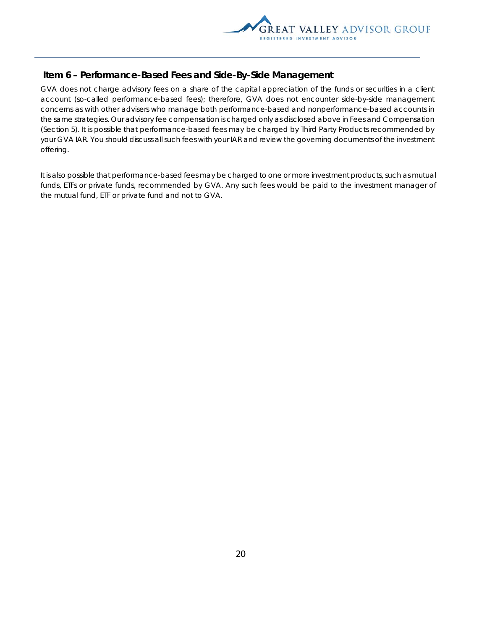

## **Item 6 – Performance-Based Fees and Side-By-Side Management**

GVA does not charge advisory fees on a share of the capital appreciation of the funds or securities in a client account (so-called performance-based fees); therefore, GVA does not encounter side-by-side management concerns as with other advisers who manage both performance-based and nonperformance-based accounts in the same strategies. Our advisory fee compensation is charged only as disclosed above in Fees and Compensation (Section 5). It is possible that performance-based fees may be charged by Third Party Products recommended by your GVA IAR. You should discuss all such fees with your IAR and review the governing documents of the investment offering.

It is also possible that performance-based fees may be charged to one or more investment products, such as mutual funds, ETFs or private funds, recommended by GVA. Any such fees would be paid to the investment manager of the mutual fund, ETF or private fund and not to GVA.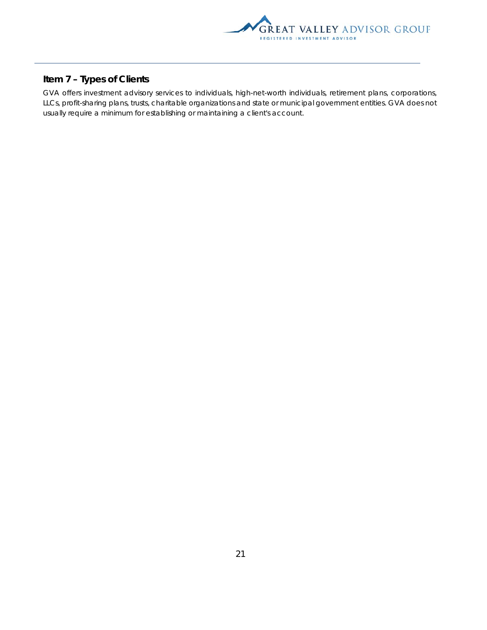

## **Item 7 – Types of Clients**

GVA offers investment advisory services to individuals, high-net-worth individuals, retirement plans, corporations, LLCs, profit-sharing plans, trusts, charitable organizations and state or municipal government entities. GVA does not usually require a minimum for establishing or maintaining a client's account.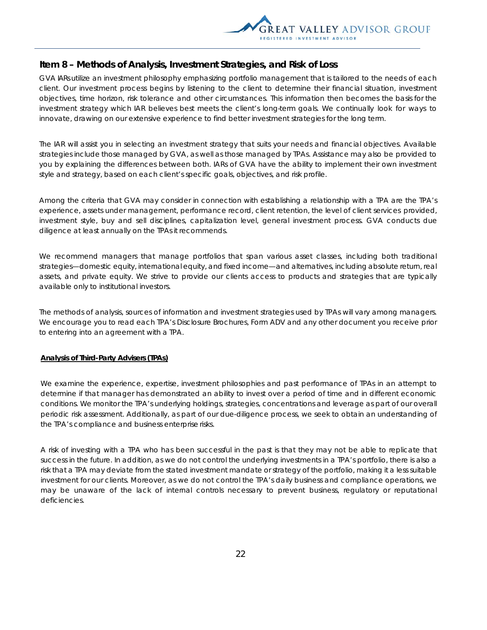

## **Item 8 – Methods of Analysis, Investment Strategies, and Risk of Loss**

GVA IARs utilize an investment philosophy emphasizing portfolio management that is tailored to the needs of each client. Our investment process begins by listening to the client to determine their financial situation, investment objectives, time horizon, risk tolerance and other circumstances. This information then becomes the basis for the investment strategy which IAR believes best meets the client's long-term goals. We continually look for ways to innovate, drawing on our extensive experience to find better investment strategies for the long term.

The IAR will assist you in selecting an investment strategy that suits your needs and financial objectives. Available strategies include those managed by GVA, as well as those managed by TPAs. Assistance may also be provided to you by explaining the differences between both. IARs of GVA have the ability to implement their own investment style and strategy, based on each client's specific goals, objectives, and risk profile.

Among the criteria that GVA may consider in connection with establishing a relationship with a TPA are the TPA's experience, assets under management, performance record, client retention, the level of client services provided, investment style, buy and sell disciplines, capitalization level, general investment process. GVA conducts due diligence at least annually on the TPAs it recommends.

We recommend managers that manage portfolios that span various asset classes, including both traditional strategies—domestic equity, international equity, and fixed income—and alternatives, including absolute return, real assets, and private equity. We strive to provide our clients access to products and strategies that are typically available only to institutional investors.

The methods of analysis, sources of information and investment strategies used by TPAs will vary among managers. We encourage you to read each TPA's Disclosure Brochures, Form ADV and any other document you receive prior to entering into an agreement with a TPA.

## **Analysis of Third-Party Advisers (TPAs)**

We examine the experience, expertise, investment philosophies and past performance of TPAs in an attempt to determine if that manager has demonstrated an ability to invest over a period of time and in different economic conditions. We monitor the TPA's underlying holdings, strategies, concentrations and leverage as part of our overall periodic risk assessment. Additionally, as part of our due-diligence process, we seek to obtain an understanding of the TPA's compliance and business enterprise risks.

A risk of investing with a TPA who has been successful in the past is that they may not be able to replicate that success in the future. In addition, as we do not control the underlying investments in a TPA's portfolio, there is also a risk that a TPA may deviate from the stated investment mandate or strategy of the portfolio, making it a less suitable investment for our clients. Moreover, as we do not control the TPA's daily business and compliance operations, we may be unaware of the lack of internal controls necessary to prevent business, regulatory or reputational deficiencies.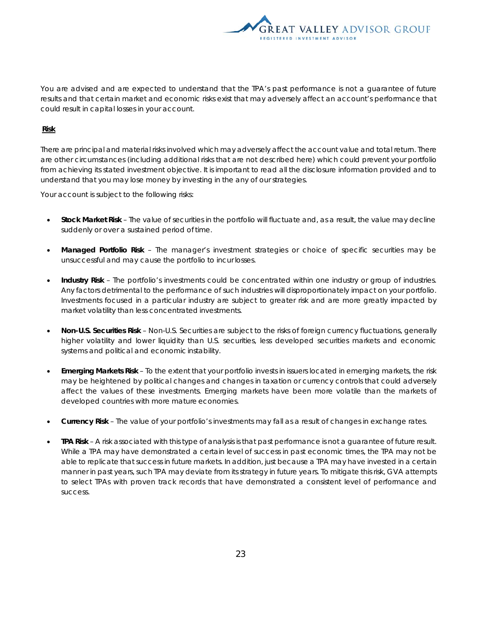

You are advised and are expected to understand that the TPA's past performance is not a guarantee of future results and that certain market and economic risks exist that may adversely affect an account's performance that could result in capital losses in your account.

### **Risk**

There are principal and material risks involved which may adversely affect the account value and total return. There are other circumstances (including additional risks that are not described here) which could prevent your portfolio from achieving its stated investment objective. It is important to read all the disclosure information provided and to understand that you may lose money by investing in the any of our strategies.

Your account is subject to the following risks:

- **Stock Market Risk** The value of securities in the portfolio will fluctuate and, as a result, the value may decline suddenly or over a sustained period of time.
- **Managed Portfolio Risk**  The manager's investment strategies or choice of specific securities may be unsuccessful and may cause the portfolio to incur losses.
- **Industry Risk**  The portfolio's investments could be concentrated within one industry or group of industries. Any factors detrimental to the performance of such industries will disproportionately impact on your portfolio. Investments focused in a particular industry are subject to greater risk and are more greatly impacted by market volatility than less concentrated investments.
- **Non-U.S. Securities Risk**  Non-U.S. Securities are subject to the risks of foreign currency fluctuations, generally higher volatility and lower liquidity than U.S. securities, less developed securities markets and economic systems and political and economic instability.
- **Emerging Markets Risk**  To the extent that your portfolio invests in issuers located in emerging markets, the risk may be heightened by political changes and changes in taxation or currency controls that could adversely affect the values of these investments. Emerging markets have been more volatile than the markets of developed countries with more mature economies.
- **Currency Risk**  The value of your portfolio's investments may fall as a result of changes in exchange rates.
- **TPA Risk**  A risk associated with this type of analysis is that past performance is not a guarantee of future result. While a TPA may have demonstrated a certain level of success in past economic times, the TPA may not be able to replicate that success in future markets. In addition, just because a TPA may have invested in a certain manner in past years, such TPA may deviate from its strategy in future years. To mitigate this risk, GVA attempts to select TPAs with proven track records that have demonstrated a consistent level of performance and success.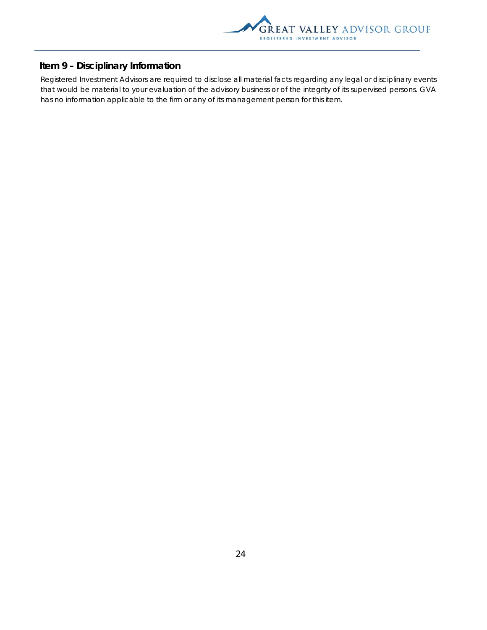

## **Item 9 – Disciplinary Information**

Registered Investment Advisors are required to disclose all material facts regarding any legal or disciplinary events that would be material to your evaluation of the advisory business or of the integrity of its supervised persons. GVA has no information applicable to the firm or any of its management person for this item.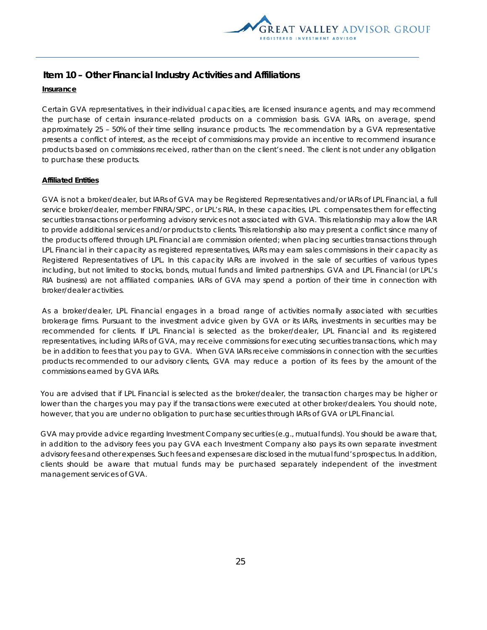

## **Item 10 – Other Financial Industry Activities and Affiliations**

## **Insurance**

Certain GVA representatives, in their individual capacities, are licensed insurance agents, and may recommend the purchase of certain insurance-related products on a commission basis. GVA IARs, on average, spend approximately 25 – 50% of their time selling insurance products. The recommendation by a GVA representative presents a conflict of interest, as the receipt of commissions may provide an incentive to recommend insurance products based on commissions received, rather than on the client's need. The client is not under any obligation to purchase these products.

## **Affiliated Entities**

GVA is not a broker/dealer, but IARs of GVA may be Registered Representatives and/or IARs of LPL Financial, a full service broker/dealer, member FINRA/SIPC, or LPL's RIA, In these capacities, LPL compensates them for effecting securities transactions or performing advisory services not associated with GVA. This relationship may allow the IAR to provide additional services and/or products to clients. This relationship also may present a conflict since many of the products offered through LPL Financial are commission oriented; when placing securities transactions through LPL Financial in their capacity as registered representatives, IARs may earn sales commissions in their capacity as Registered Representatives of LPL. In this capacity IARs are involved in the sale of securities of various types including, but not limited to stocks, bonds, mutual funds and limited partnerships. GVA and LPL Financial (or LPL's RIA business) are not affiliated companies. IARs of GVA may spend a portion of their time in connection with broker/dealer activities.

As a broker/dealer, LPL Financial engages in a broad range of activities normally associated with securities brokerage firms. Pursuant to the investment advice given by GVA or its IARs, investments in securities may be recommended for clients. If LPL Financial is selected as the broker/dealer, LPL Financial and its registered representatives, including IARs of GVA, may receive commissions for executing securities transactions, which may be in addition to fees that you pay to GVA. When GVA IARs receive commissions in connection with the securities products recommended to our advisory clients, GVA may reduce a portion of its fees by the amount of the commissions earned by GVA IARs.

You are advised that if LPL Financial is selected as the broker/dealer, the transaction charges may be higher or lower than the charges you may pay if the transactions were executed at other broker/dealers. You should note, however, that you are under no obligation to purchase securities through IARs of GVA or LPL Financial.

GVA may provide advice regarding Investment Company securities (e.g., mutual funds). You should be aware that, in addition to the advisory fees you pay GVA each Investment Company also pays its own separate investment advisory fees and other expenses. Such fees and expenses are disclosed in the mutual fund's prospectus. In addition, clients should be aware that mutual funds may be purchased separately independent of the investment management services of GVA.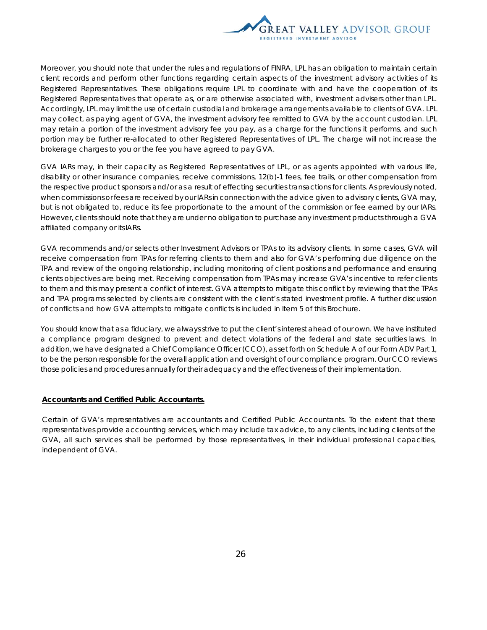

Moreover, you should note that under the rules and regulations of FINRA, LPL has an obligation to maintain certain client records and perform other functions regarding certain aspects of the investment advisory activities of its Registered Representatives. These obligations require LPL to coordinate with and have the cooperation of its Registered Representatives that operate as, or are otherwise associated with, investment advisers other than LPL. Accordingly, LPL may limit the use of certain custodial and brokerage arrangements available to clients of GVA. LPL may collect, as paying agent of GVA, the investment advisory fee remitted to GVA by the account custodian. LPL may retain a portion of the investment advisory fee you pay, as a charge for the functions it performs, and such portion may be further re-allocated to other Registered Representatives of LPL. The charge will not increase the brokerage charges to you or the fee you have agreed to pay GVA.

GVA IARs may, in their capacity as Registered Representatives of LPL, or as agents appointed with various life, disability or other insurance companies, receive commissions, 12(b)-1 fees, fee trails, or other compensation from the respective product sponsors and/or as a result of effecting securities transactions for clients. As previously noted, when commissions or fees are received by our IARs in connection with the advice given to advisory clients, GVA may, but is not obligated to, reduce its fee proportionate to the amount of the commission or fee earned by our IARs. However, clients should note that they are under no obligation to purchase any investment products through a GVA affiliated company or its IARs.

GVA recommends and/or selects other Investment Advisors or TPAs to its advisory clients. In some cases, GVA will receive compensation from TPAs for referring clients to them and also for GVA's performing due diligence on the TPA and review of the ongoing relationship, including monitoring of client positions and performance and ensuring clients objectives are being met. Receiving compensation from TPAs may increase GVA's incentive to refer clients to them and this may present a conflict of interest. GVA attempts to mitigate this conflict by reviewing that the TPAs and TPA programs selected by clients are consistent with the client's stated investment profile. A further discussion of conflicts and how GVA attempts to mitigate conflicts is included in Item 5 of this Brochure.

You should know that as a fiduciary, we always strive to put the client's interest ahead of our own. We have instituted a compliance program designed to prevent and detect violations of the federal and state securities laws. In addition, we have designated a Chief Compliance Officer (CCO), as set forth on Schedule A of our Form ADV Part 1, to be the person responsible for the overall application and oversight of our compliance program. Our CCO reviews those policies and procedures annually for their adequacy and the effectiveness of their implementation.

#### **Accountants and Certified Public Accountants.**

Certain of GVA's representatives are accountants and Certified Public Accountants. To the extent that these representatives provide accounting services, which may include tax advice, to any clients, including clients of the GVA, all such services shall be performed by those representatives, in their individual professional capacities, independent of GVA.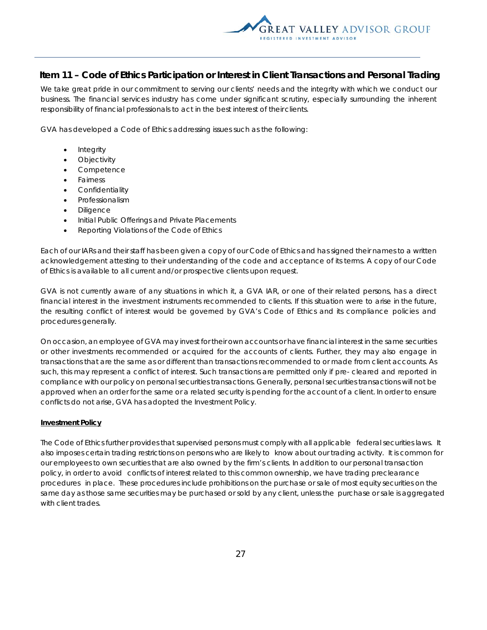

## **Item 11 – Code of Ethics Participation or Interest in Client Transactions and Personal Trading**

We take great pride in our commitment to serving our clients' needs and the integrity with which we conduct our business. The financial services industry has come under significant scrutiny, especially surrounding the inherent responsibility of financial professionals to act in the best interest of their clients.

GVA has developed a Code of Ethics addressing issues such as the following:

- Integrity
- **Objectivity**
- Competence
- Fairness
- Confidentiality
- Professionalism
- **Diligence**
- Initial Public Offerings and Private Placements
- Reporting Violations of the Code of Ethics

Each of our IARs and their staff has been given a copy of our Code of Ethics and has signed their names to a written acknowledgement attesting to their understanding of the code and acceptance of its terms. A copy of our Code of Ethics is available to all current and/or prospective clients upon request.

GVA is not currently aware of any situations in which it, a GVA IAR, or one of their related persons, has a direct financial interest in the investment instruments recommended to clients. If this situation were to arise in the future, the resulting conflict of interest would be governed by GVA's Code of Ethics and its compliance policies and procedures generally.

On occasion, an employee of GVA may invest for their own accounts or have financial interest in the same securities or other investments recommended or acquired for the accounts of clients. Further, they may also engage in transactions that are the same as or different than transactions recommended to or made from client accounts. As such, this may represent a conflict of interest. Such transactions are permitted only if pre- cleared and reported in compliance with our policy on personal securities transactions. Generally, personal securities transactions will not be approved when an order for the same or a related security is pending for the account of a client. In order to ensure conflicts do not arise, GVA has adopted the Investment Policy.

#### **Investment Policy**

The Code of Ethics further provides that supervised persons must comply with all applicable federal securities laws. It also imposes certain trading restrictions on persons who are likely to know about our trading activity. It is common for our employees to own securities that are also owned by the firm's clients. In addition to our personal transaction policy, in order to avoid conflicts of interest related to this common ownership, we have trading preclearance procedures in place. These procedures include prohibitions on the purchase or sale of most equity securities on the same day as those same securities may be purchased or sold by any client, unless the purchase or sale is aggregated with client trades.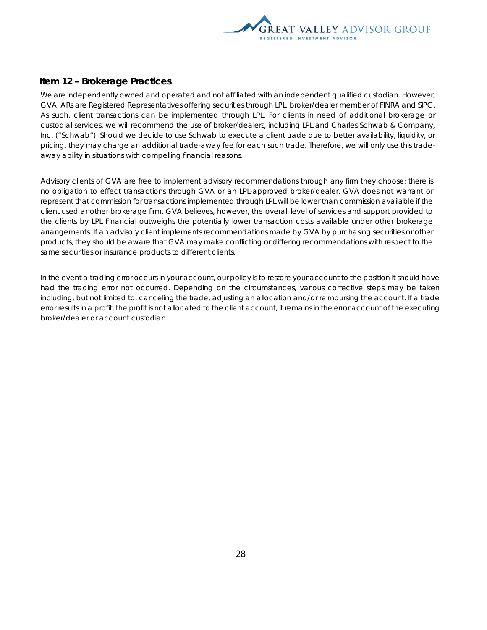

## **Item 12 – Brokerage Practices**

We are independently owned and operated and not affiliated with an independent qualified custodian. However, GVA IARs are Registered Representatives offering securities through LPL, broker/dealer member of FINRA and SIPC. As such, client transactions can be implemented through LPL. For clients in need of additional brokerage or custodial services, we will recommend the use of broker/dealers, including LPL and Charles Schwab & Company, Inc. ("Schwab"). Should we decide to use Schwab to execute a client trade due to better availability, liquidity, or pricing, they may charge an additional trade-away fee for each such trade. Therefore, we will only use this tradeaway ability in situations with compelling financial reasons.

Advisory clients of GVA are free to implement advisory recommendations through any firm they choose; there is no obligation to effect transactions through GVA or an LPL-approved broker/dealer. GVA does not warrant or represent that commission for transactions implemented through LPL will be lower than commission available if the client used another brokerage firm. GVA believes, however, the overall level of services and support provided to the clients by LPL Financial outweighs the potentially lower transaction costs available under other brokerage arrangements. If an advisory client implements recommendations made by GVA by purchasing securities or other products, they should be aware that GVA may make conflicting or differing recommendations with respect to the same securities or insurance products to different clients.

In the event a trading error occurs in your account, our policy is to restore your account to the position it should have had the trading error not occurred. Depending on the circumstances, various corrective steps may be taken including, but not limited to, canceling the trade, adjusting an allocation and/or reimbursing the account. If a trade error results in a profit, the profit is not allocated to the client account, it remains in the error account of the executing broker/dealer or account custodian.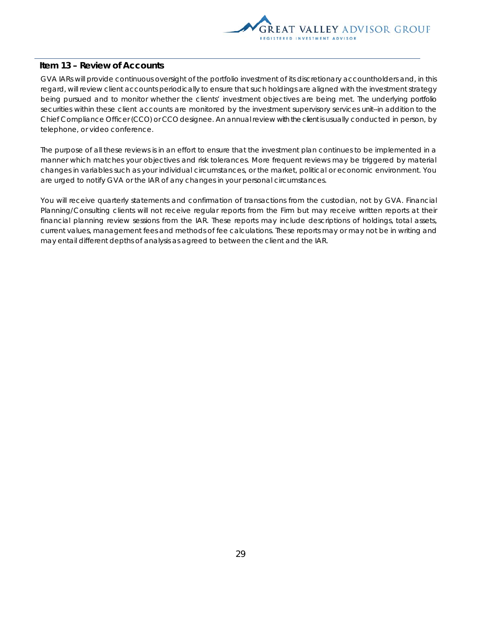

## **Item 13 – Review of Accounts**

GVA IARs will provide continuous oversight of the portfolio investment of its discretionary accountholders and, in this regard, will review client accounts periodically to ensure that such holdings are aligned with the investment strategy being pursued and to monitor whether the clients' investment objectives are being met. The underlying portfolio securities within these client accounts are monitored by the investment supervisory services unit--in addition to the Chief Compliance Officer (CCO) or CCO designee. An annual review with the client is usually conducted in person, by telephone, or video conference.

The purpose of all these reviews is in an effort to ensure that the investment plan continues to be implemented in a manner which matches your objectives and risk tolerances. More frequent reviews may be triggered by material changes in variables such as your individual circumstances, or the market, political or economic environment. You are urged to notify GVA or the IAR of any changes in your personal circumstances.

You will receive quarterly statements and confirmation of transactions from the custodian, not by GVA. Financial Planning/Consulting clients will not receive regular reports from the Firm but may receive written reports at their financial planning review sessions from the IAR. These reports may include descriptions of holdings, total assets, current values, management fees and methods of fee calculations. These reports may or may not be in writing and may entail different depths of analysis as agreed to between the client and the IAR.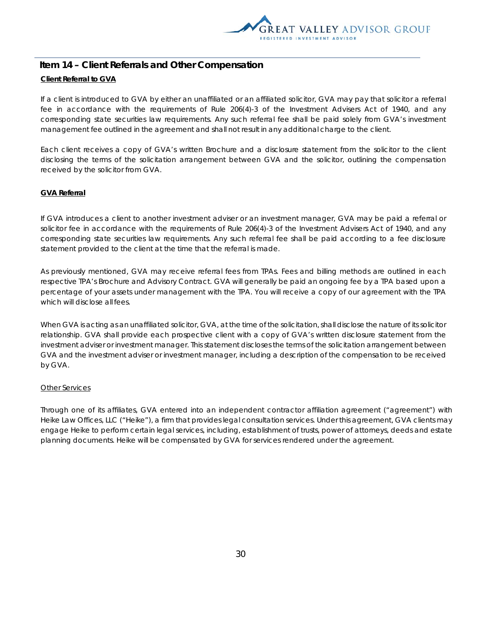

## **Item 14 – Client Referrals and Other Compensation Client Referral to GVA**

If a client is introduced to GVA by either an unaffiliated or an affiliated solicitor, GVA may pay that solicitor a referral fee in accordance with the requirements of Rule 206(4)-3 of the Investment Advisers Act of 1940, and any corresponding state securities law requirements. Any such referral fee shall be paid solely from GVA's investment management fee outlined in the agreement and shall not result in any additional charge to the client.

Each client receives a copy of GVA's written Brochure and a disclosure statement from the solicitor to the client disclosing the terms of the solicitation arrangement between GVA and the solicitor, outlining the compensation received by the solicitor from GVA.

## **GVA Referral**

If GVA introduces a client to another investment adviser or an investment manager, GVA may be paid a referral or solicitor fee in accordance with the requirements of Rule 206(4)-3 of the Investment Advisers Act of 1940, and any corresponding state securities law requirements. Any such referral fee shall be paid according to a fee disclosure statement provided to the client at the time that the referral is made.

As previously mentioned, GVA may receive referral fees from TPAs. Fees and billing methods are outlined in each respective TPA's Brochure and Advisory Contract. GVA will generally be paid an ongoing fee by a TPA based upon a percentage of your assets under management with the TPA. You will receive a copy of our agreement with the TPA which will disclose all fees.

When GVA is acting as an unaffiliated solicitor, GVA, at the time of the solicitation, shall disclose the nature of its solicitor relationship. GVA shall provide each prospective client with a copy of GVA's written disclosure statement from the investment adviser or investment manager. This statement discloses the terms of the solicitation arrangement between GVA and the investment adviser or investment manager, including a description of the compensation to be received by GVA.

## Other Services

Through one of its affiliates, GVA entered into an independent contractor affiliation agreement ("agreement") with Heike Law Offices, LLC ("Heike"), a firm that provides legal consultation services. Under this agreement, GVA clients may engage Heike to perform certain legal services, including, establishment of trusts, power of attorneys, deeds and estate planning documents. Heike will be compensated by GVA for services rendered under the agreement.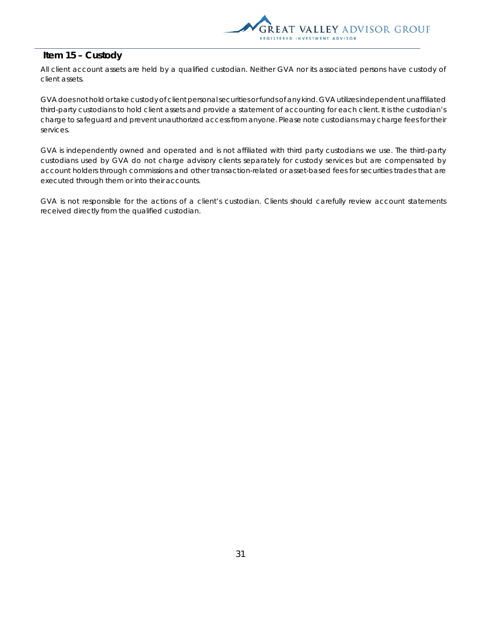

## **Item 15 – Custody**

All client account assets are held by a qualified custodian. Neither GVA nor its associated persons have custody of client assets.

GVA does not hold or take custody of client personal securities or funds of any kind. GVA utilizes independent unaffiliated third-party custodians to hold client assets and provide a statement of accounting for each client. It is the custodian's charge to safeguard and prevent unauthorized access from anyone. Please note custodians may charge fees for their services.

GVA is independently owned and operated and is not affiliated with third party custodians we use. The third-party custodians used by GVA do not charge advisory clients separately for custody services but are compensated by account holders through commissions and other transaction-related or asset-based fees for securities trades that are executed through them or into their accounts.

GVA is not responsible for the actions of a client's custodian. Clients should carefully review account statements received directly from the qualified custodian.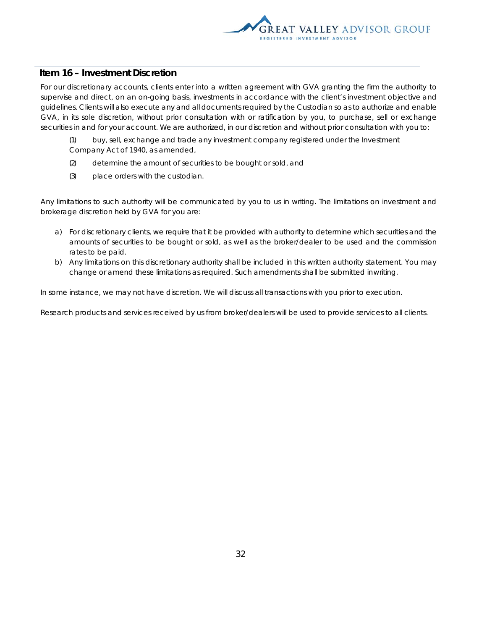

## **Item 16 – Investment Discretion**

For our discretionary accounts, clients enter into a written agreement with GVA granting the firm the authority to supervise and direct, on an on-going basis, investments in accordance with the client's investment objective and guidelines. Clients will also execute any and all documents required by the Custodian so as to authorize and enable GVA, in its sole discretion, without prior consultation with or ratification by you, to purchase, sell or exchange securities in and for your account. We are authorized, in our discretion and without prior consultation with you to:

- (1) buy, sell, exchange and trade any investment company registered under the Investment Company Act of 1940, as amended,
- (2) determine the amount of securities to be bought or sold, and
- (3) place orders with the custodian.

Any limitations to such authority will be communicated by you to us in writing. The limitations on investment and brokerage discretion held by GVA for you are:

- a) For discretionary clients, we require that it be provided with authority to determine which securities and the amounts of securities to be bought or sold, as well as the broker/dealer to be used and the commission rates to be paid.
- b) Any limitations on this discretionary authority shall be included in this written authority statement. You may change or amend these limitations as required. Such amendments shall be submitted in writing.

In some instance, we may not have discretion. We will discuss all transactions with you prior to execution.

Research products and services received by us from broker/dealers will be used to provide services to all clients.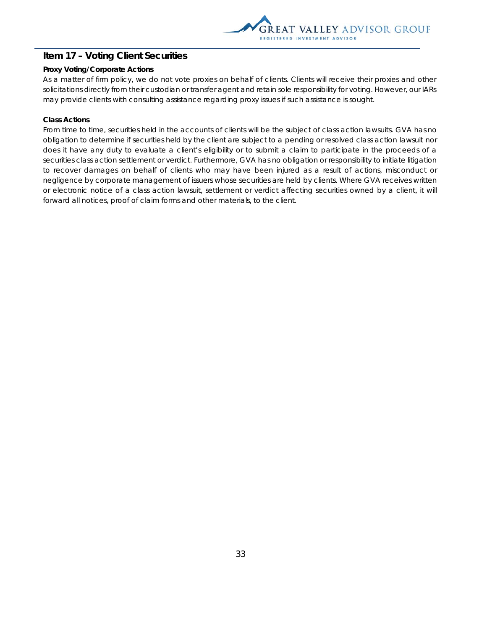

## **Item 17 – Voting Client Securities**

## **Proxy Voting/Corporate Actions**

As a matter of firm policy, we do not vote proxies on behalf of clients. Clients will receive their proxies and other solicitations directly from their custodian or transfer agent and retain sole responsibility for voting. However, our IARs may provide clients with consulting assistance regarding proxy issues if such assistance is sought.

### **Class Actions**

From time to time, securities held in the accounts of clients will be the subject of class action lawsuits. GVA has no obligation to determine if securities held by the client are subject to a pending or resolved class action lawsuit nor does it have any duty to evaluate a client's eligibility or to submit a claim to participate in the proceeds of a securities class action settlement or verdict. Furthermore, GVA has no obligation or responsibility to initiate litigation to recover damages on behalf of clients who may have been injured as a result of actions, misconduct or negligence by corporate management of issuers whose securities are held by clients. Where GVA receives written or electronic notice of a class action lawsuit, settlement or verdict affecting securities owned by a client, it will forward all notices, proof of claim forms and other materials, to the client.